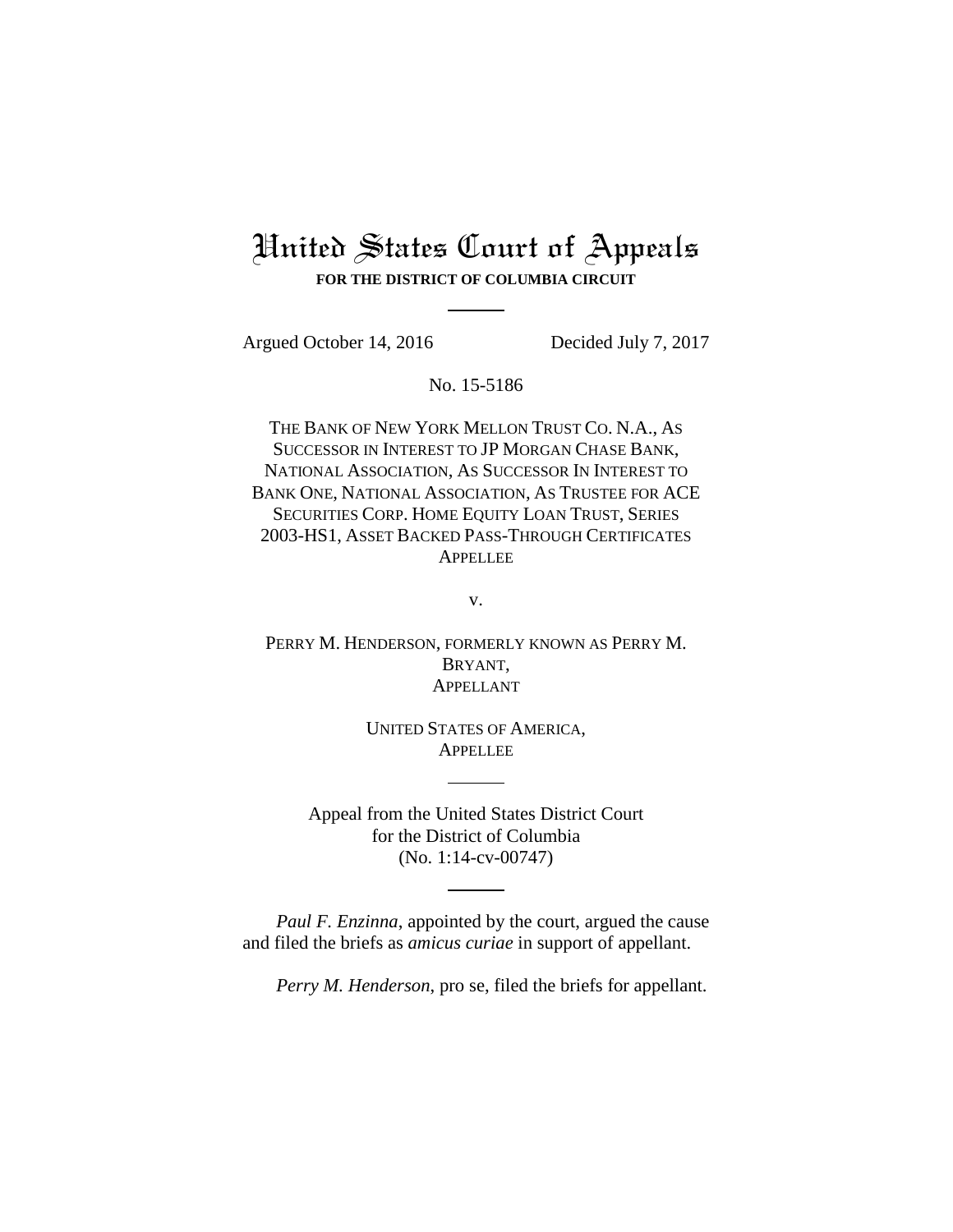# United States Court of Appeals **FOR THE DISTRICT OF COLUMBIA CIRCUIT**

Argued October 14, 2016 Decided July 7, 2017

No. 15-5186

THE BANK OF NEW YORK MELLON TRUST CO. N.A., AS SUCCESSOR IN INTEREST TO JP MORGAN CHASE BANK, NATIONAL ASSOCIATION, AS SUCCESSOR IN INTEREST TO BANK ONE, NATIONAL ASSOCIATION, AS TRUSTEE FOR ACE SECURITIES CORP. HOME EQUITY LOAN TRUST, SERIES 2003-HS1, ASSET BACKED PASS-THROUGH CERTIFICATES APPELLEE

v.

PERRY M. HENDERSON, FORMERLY KNOWN AS PERRY M. BRYANT, APPELLANT

> UNITED STATES OF AMERICA, **APPELLEE**

Appeal from the United States District Court for the District of Columbia (No. 1:14-cv-00747)

*Paul F. Enzinna*, appointed by the court, argued the cause and filed the briefs as *amicus curiae* in support of appellant.

*Perry M. Henderson*, pro se, filed the briefs for appellant.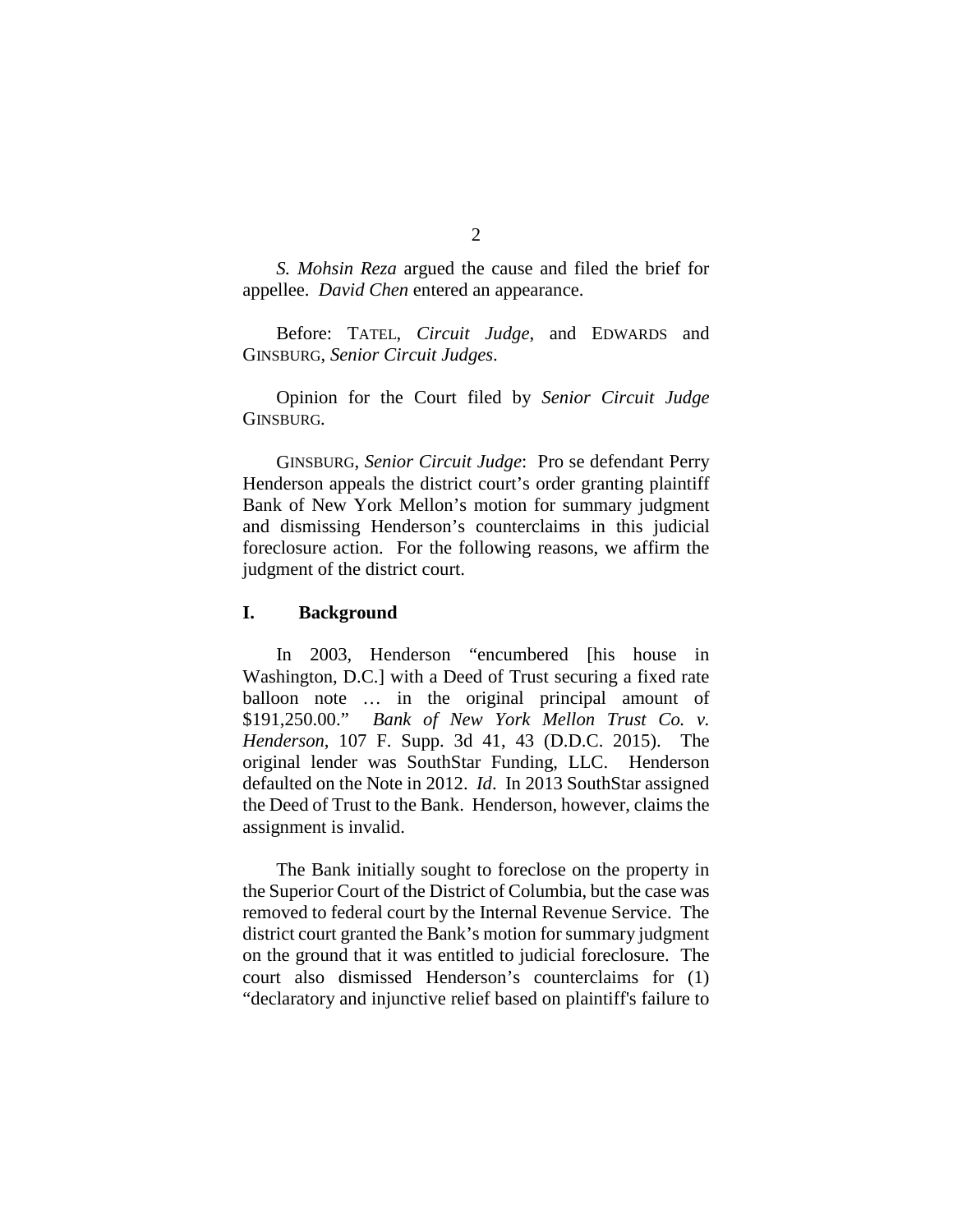*S. Mohsin Reza* argued the cause and filed the brief for appellee. *David Chen* entered an appearance.

Before: TATEL, *Circuit Judge*, and EDWARDS and GINSBURG, *Senior Circuit Judges*.

Opinion for the Court filed by *Senior Circuit Judge* GINSBURG*.*

GINSBURG, *Senior Circuit Judge*: Pro se defendant Perry Henderson appeals the district court's order granting plaintiff Bank of New York Mellon's motion for summary judgment and dismissing Henderson's counterclaims in this judicial foreclosure action. For the following reasons, we affirm the judgment of the district court.

#### **I. Background**

In 2003, Henderson "encumbered [his house in Washington, D.C.] with a Deed of Trust securing a fixed rate balloon note … in the original principal amount of \$191,250.00." *Bank of New York Mellon Trust Co. v. Henderson*, 107 F. Supp. 3d 41, 43 (D.D.C. 2015). The original lender was SouthStar Funding, LLC. Henderson defaulted on the Note in 2012. *Id*. In 2013 SouthStar assigned the Deed of Trust to the Bank. Henderson, however, claims the assignment is invalid.

The Bank initially sought to foreclose on the property in the Superior Court of the District of Columbia, but the case was removed to federal court by the Internal Revenue Service. The district court granted the Bank's motion for summary judgment on the ground that it was entitled to judicial foreclosure. The court also dismissed Henderson's counterclaims for (1) "declaratory and injunctive relief based on plaintiff's failure to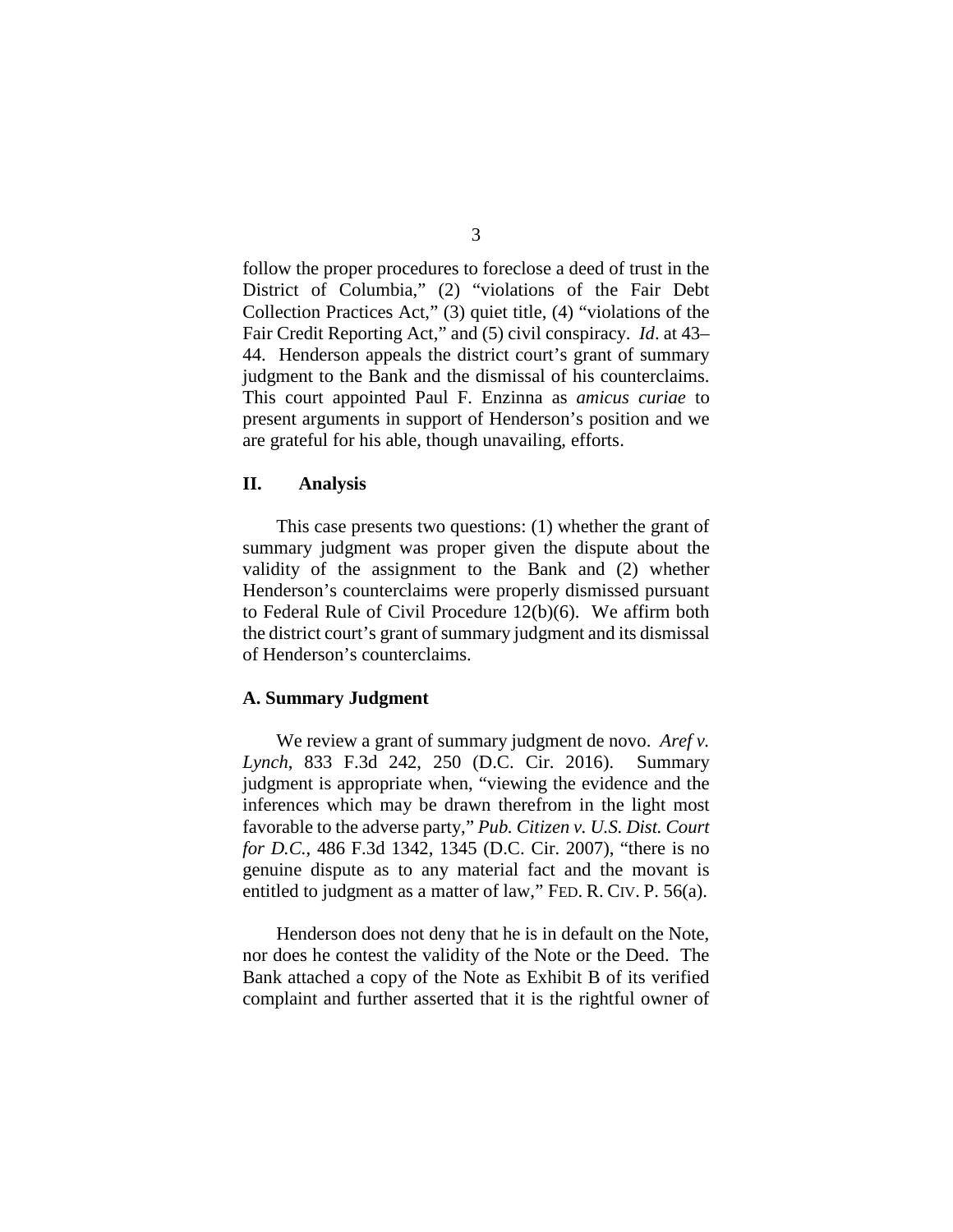follow the proper procedures to foreclose a deed of trust in the District of Columbia," (2) "violations of the Fair Debt Collection Practices Act," (3) quiet title, (4) "violations of the Fair Credit Reporting Act," and (5) civil conspiracy. *Id*. at 43– 44. Henderson appeals the district court's grant of summary judgment to the Bank and the dismissal of his counterclaims. This court appointed Paul F. Enzinna as *amicus curiae* to present arguments in support of Henderson's position and we are grateful for his able, though unavailing, efforts.

## **II. Analysis**

This case presents two questions: (1) whether the grant of summary judgment was proper given the dispute about the validity of the assignment to the Bank and (2) whether Henderson's counterclaims were properly dismissed pursuant to Federal Rule of Civil Procedure 12(b)(6). We affirm both the district court's grant of summary judgment and its dismissal of Henderson's counterclaims.

#### **A. Summary Judgment**

We review a grant of summary judgment de novo. *Aref v. Lynch*, 833 F.3d 242, 250 (D.C. Cir. 2016). Summary judgment is appropriate when, "viewing the evidence and the inferences which may be drawn therefrom in the light most favorable to the adverse party," *Pub. Citizen v. U.S. Dist. Court for D.C.*, 486 F.3d 1342, 1345 (D.C. Cir. 2007), "there is no genuine dispute as to any material fact and the movant is entitled to judgment as a matter of law," FED. R. CIV. P. 56(a).

Henderson does not deny that he is in default on the Note, nor does he contest the validity of the Note or the Deed. The Bank attached a copy of the Note as Exhibit B of its verified complaint and further asserted that it is the rightful owner of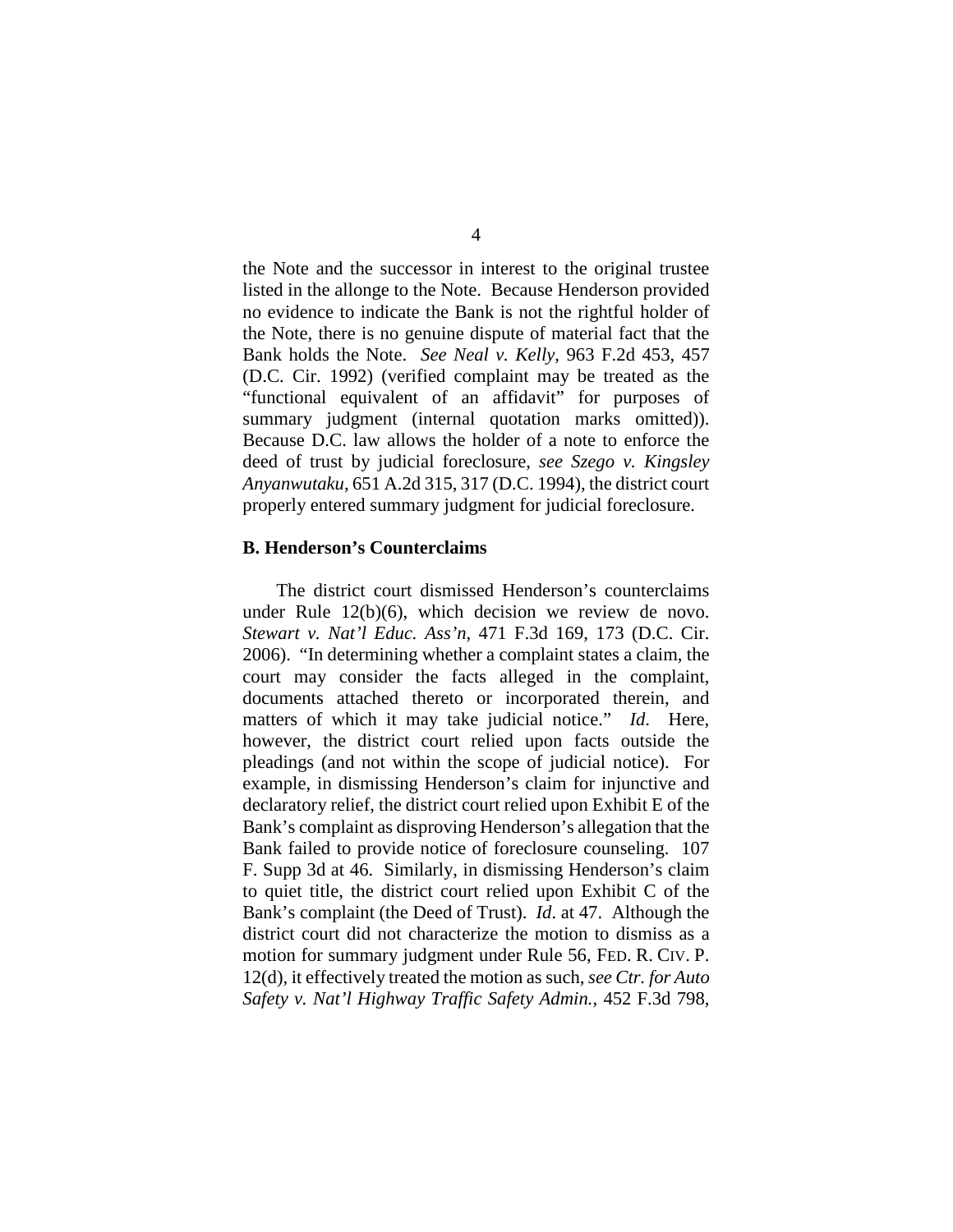the Note and the successor in interest to the original trustee listed in the allonge to the Note. Because Henderson provided no evidence to indicate the Bank is not the rightful holder of the Note, there is no genuine dispute of material fact that the Bank holds the Note. *See Neal v. Kelly*, 963 F.2d 453, 457 (D.C. Cir. 1992) (verified complaint may be treated as the "functional equivalent of an affidavit" for purposes of summary judgment (internal quotation marks omitted)). Because D.C. law allows the holder of a note to enforce the deed of trust by judicial foreclosure, *see Szego v. Kingsley Anyanwutaku*, 651 A.2d 315, 317 (D.C. 1994), the district court properly entered summary judgment for judicial foreclosure.

### **B. Henderson's Counterclaims**

The district court dismissed Henderson's counterclaims under Rule 12(b)(6), which decision we review de novo. *Stewart v. Nat'l Educ. Ass'n*, 471 F.3d 169, 173 (D.C. Cir. 2006). "In determining whether a complaint states a claim, the court may consider the facts alleged in the complaint, documents attached thereto or incorporated therein, and matters of which it may take judicial notice." *Id*. Here, however, the district court relied upon facts outside the pleadings (and not within the scope of judicial notice). For example, in dismissing Henderson's claim for injunctive and declaratory relief, the district court relied upon Exhibit E of the Bank's complaint as disproving Henderson's allegation that the Bank failed to provide notice of foreclosure counseling. 107 F. Supp 3d at 46. Similarly, in dismissing Henderson's claim to quiet title, the district court relied upon Exhibit C of the Bank's complaint (the Deed of Trust). *Id*. at 47. Although the district court did not characterize the motion to dismiss as a motion for summary judgment under Rule 56, FED. R. CIV. P. 12(d), it effectively treated the motion as such, *see Ctr. for Auto Safety v. Nat'l Highway Traffic Safety Admin.,* 452 F.3d 798,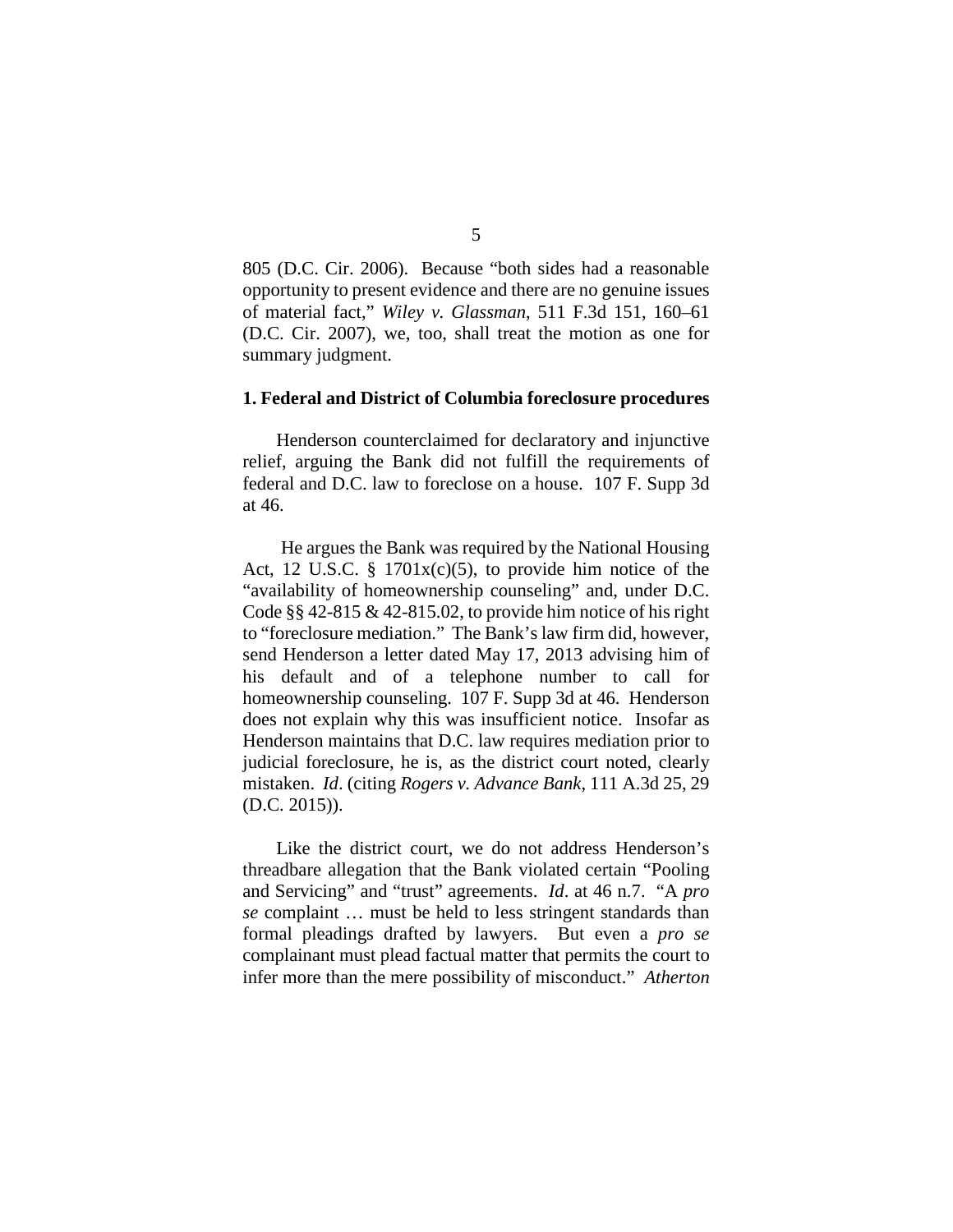805 (D.C. Cir. 2006). Because "both sides had a reasonable opportunity to present evidence and there are no genuine issues of material fact," *Wiley v. Glassman*, 511 F.3d 151, 160–61 (D.C. Cir. 2007), we, too, shall treat the motion as one for summary judgment.

#### **1. Federal and District of Columbia foreclosure procedures**

Henderson counterclaimed for declaratory and injunctive relief, arguing the Bank did not fulfill the requirements of federal and D.C. law to foreclose on a house. 107 F. Supp 3d at 46.

He argues the Bank was required by the National Housing Act, 12 U.S.C.  $\S$  1701x(c)(5), to provide him notice of the "availability of homeownership counseling" and, under D.C. Code §§ 42-815 & 42-815.02, to provide him notice of his right to "foreclosure mediation." The Bank's law firm did, however, send Henderson a letter dated May 17, 2013 advising him of his default and of a telephone number to call for homeownership counseling. 107 F. Supp 3d at 46. Henderson does not explain why this was insufficient notice. Insofar as Henderson maintains that D.C. law requires mediation prior to judicial foreclosure, he is, as the district court noted, clearly mistaken. *Id*. (citing *Rogers v. Advance Bank*, 111 A.3d 25, 29 (D.C. 2015)).

Like the district court, we do not address Henderson's threadbare allegation that the Bank violated certain "Pooling and Servicing" and "trust" agreements. *Id*. at 46 n.7. "A *pro se* complaint … must be held to less stringent standards than formal pleadings drafted by lawyers. But even a *pro se* complainant must plead factual matter that permits the court to infer more than the mere possibility of misconduct." *Atherton*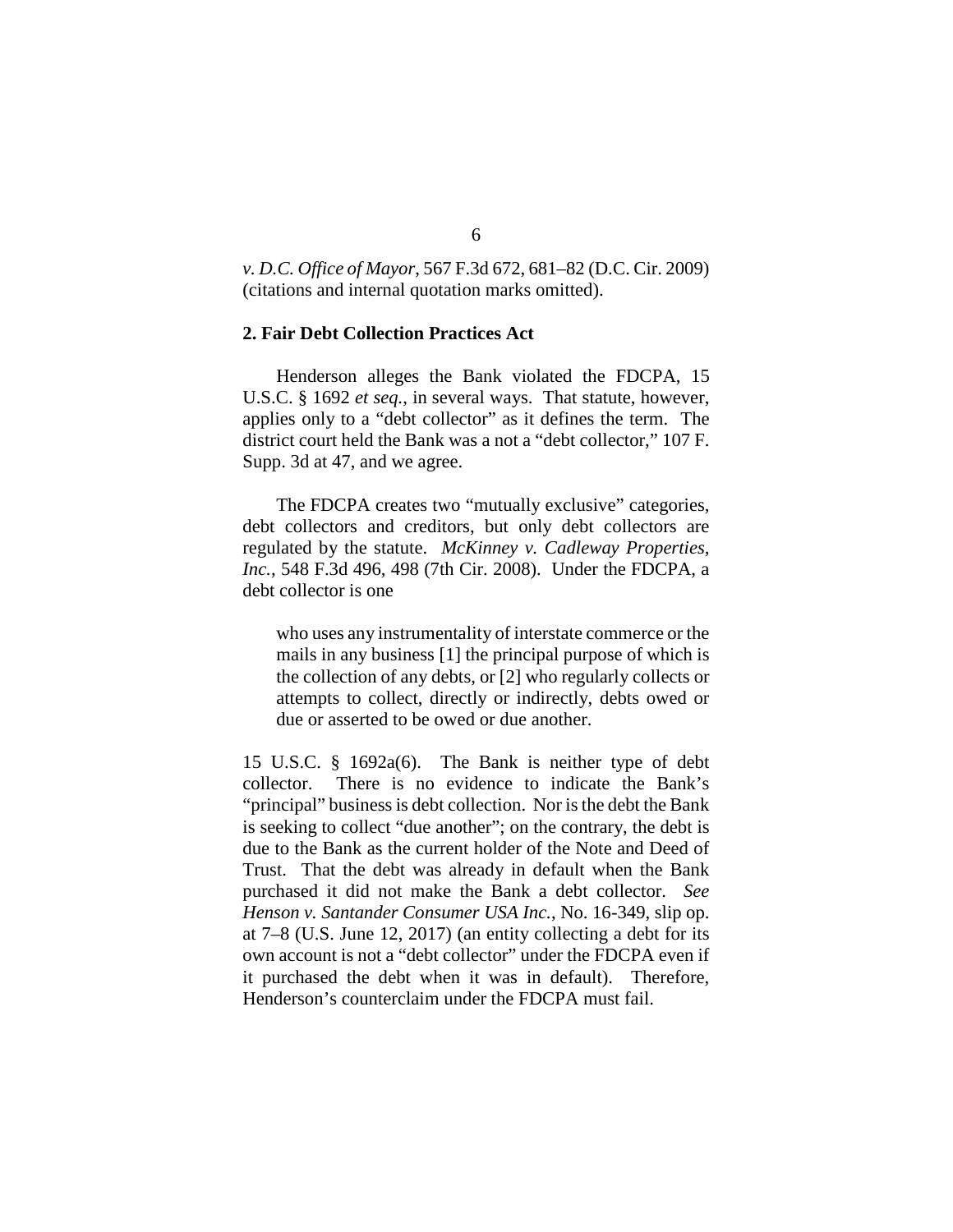*v. D.C. Office of Mayor*, 567 F.3d 672, 681–82 (D.C. Cir. 2009) (citations and internal quotation marks omitted).

## **2. Fair Debt Collection Practices Act**

Henderson alleges the Bank violated the FDCPA, 15 U.S.C. § 1692 *et seq.*, in several ways. That statute, however, applies only to a "debt collector" as it defines the term. The district court held the Bank was a not a "debt collector," 107 F. Supp. 3d at 47, and we agree.

The FDCPA creates two "mutually exclusive" categories, debt collectors and creditors, but only debt collectors are regulated by the statute. *McKinney v. Cadleway Properties, Inc.*, 548 F.3d 496, 498 (7th Cir. 2008). Under the FDCPA, a debt collector is one

who uses any instrumentality of interstate commerce or the mails in any business [1] the principal purpose of which is the collection of any debts, or [2] who regularly collects or attempts to collect, directly or indirectly, debts owed or due or asserted to be owed or due another.

15 U.S.C. § 1692a(6). The Bank is neither type of debt collector. There is no evidence to indicate the Bank's "principal" business is debt collection. Nor is the debt the Bank is seeking to collect "due another"; on the contrary, the debt is due to the Bank as the current holder of the Note and Deed of Trust. That the debt was already in default when the Bank purchased it did not make the Bank a debt collector. *See Henson v. Santander Consumer USA Inc.*, No. 16-349, slip op. at 7–8 (U.S. June 12, 2017) (an entity collecting a debt for its own account is not a "debt collector" under the FDCPA even if it purchased the debt when it was in default). Therefore, Henderson's counterclaim under the FDCPA must fail.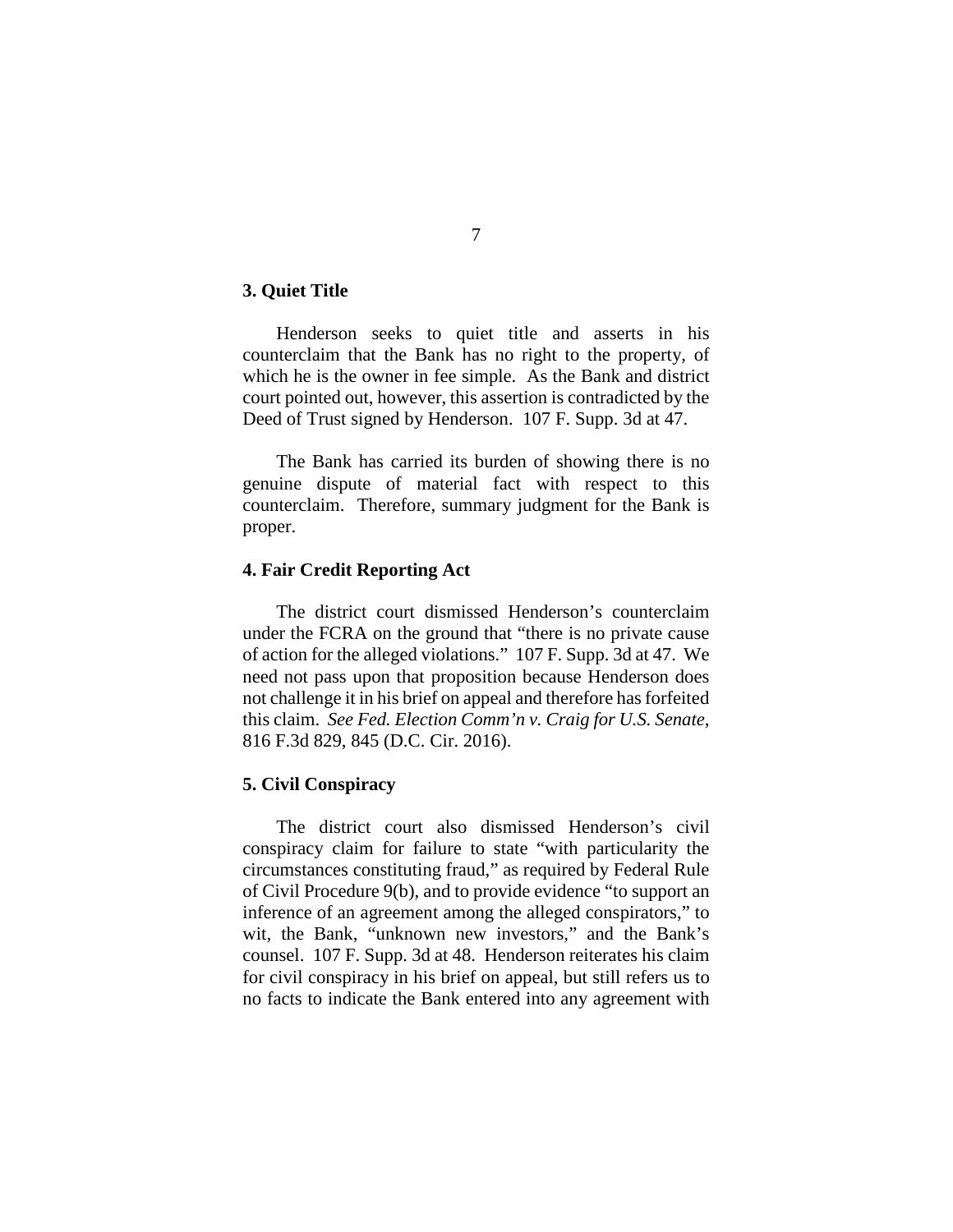## **3. Quiet Title**

Henderson seeks to quiet title and asserts in his counterclaim that the Bank has no right to the property, of which he is the owner in fee simple. As the Bank and district court pointed out, however, this assertion is contradicted by the Deed of Trust signed by Henderson. 107 F. Supp. 3d at 47.

The Bank has carried its burden of showing there is no genuine dispute of material fact with respect to this counterclaim. Therefore, summary judgment for the Bank is proper.

#### **4. Fair Credit Reporting Act**

The district court dismissed Henderson's counterclaim under the FCRA on the ground that "there is no private cause of action for the alleged violations." 107 F. Supp. 3d at 47. We need not pass upon that proposition because Henderson does not challenge it in his brief on appeal and therefore has forfeited this claim. *See Fed. Election Comm'n v. Craig for U.S. Senate*, 816 F.3d 829, 845 (D.C. Cir. 2016).

## **5. Civil Conspiracy**

The district court also dismissed Henderson's civil conspiracy claim for failure to state "with particularity the circumstances constituting fraud," as required by Federal Rule of Civil Procedure 9(b), and to provide evidence "to support an inference of an agreement among the alleged conspirators," to wit, the Bank, "unknown new investors," and the Bank's counsel. 107 F. Supp. 3d at 48. Henderson reiterates his claim for civil conspiracy in his brief on appeal, but still refers us to no facts to indicate the Bank entered into any agreement with